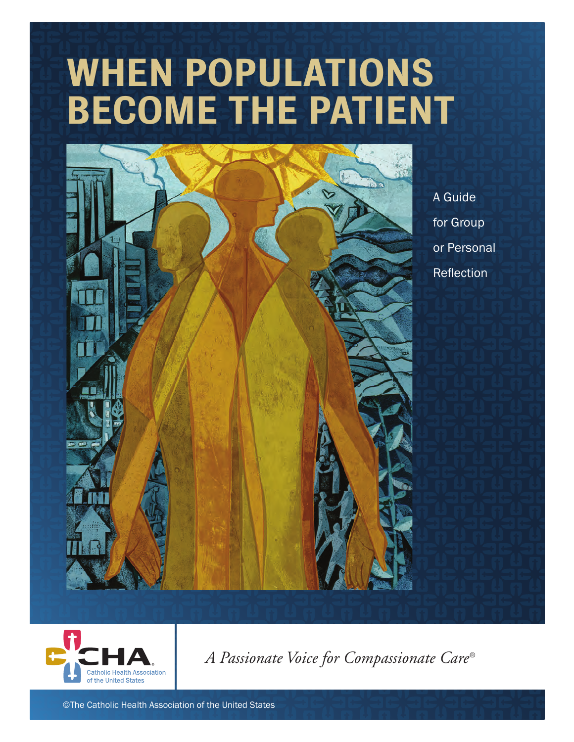# WHEN POPULATIONS BECOME THE PATIENT



A Guide for Group or Personal Reflection



*A Passionate Voice for Compassionate Care®*

©The Catholic Health Association of the United States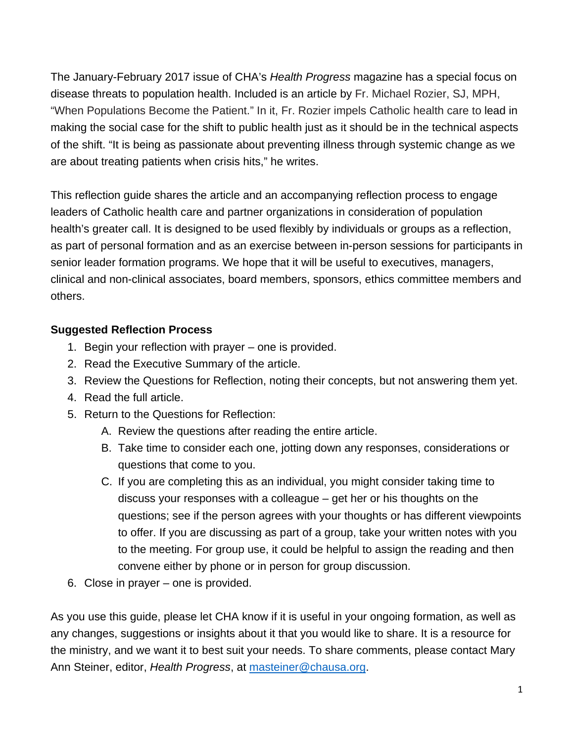The January-February 2017 issue of CHA's *Health Progress* magazine has a special focus on disease threats to population health. Included is an article by Fr. Michael Rozier, SJ, MPH, "When Populations Become the Patient." In it, Fr. Rozier impels Catholic health care to lead in making the social case for the shift to public health just as it should be in the technical aspects of the shift. "It is being as passionate about preventing illness through systemic change as we are about treating patients when crisis hits," he writes.

This reflection guide shares the article and an accompanying reflection process to engage leaders of Catholic health care and partner organizations in consideration of population health's greater call. It is designed to be used flexibly by individuals or groups as a reflection, as part of personal formation and as an exercise between in-person sessions for participants in senior leader formation programs. We hope that it will be useful to executives, managers, clinical and non-clinical associates, board members, sponsors, ethics committee members and others.

#### **Suggested Reflection Process**

- 1. Begin your reflection with prayer one is provided.
- 2. Read the Executive Summary of the article.
- 3. Review the Questions for Reflection, noting their concepts, but not answering them yet.
- 4. Read the full article.
- 5. Return to the Questions for Reflection:
	- A. Review the questions after reading the entire article.
	- B. Take time to consider each one, jotting down any responses, considerations or questions that come to you.
	- C. If you are completing this as an individual, you might consider taking time to discuss your responses with a colleague – get her or his thoughts on the questions; see if the person agrees with your thoughts or has different viewpoints to offer. If you are discussing as part of a group, take your written notes with you to the meeting. For group use, it could be helpful to assign the reading and then convene either by phone or in person for group discussion.
- 6. Close in prayer one is provided.

As you use this guide, please let CHA know if it is useful in your ongoing formation, as well as any changes, suggestions or insights about it that you would like to share. It is a resource for the ministry, and we want it to best suit your needs. To share comments, please contact Mary Ann Steiner, editor, *Health Progress*, at masteiner@chausa.org.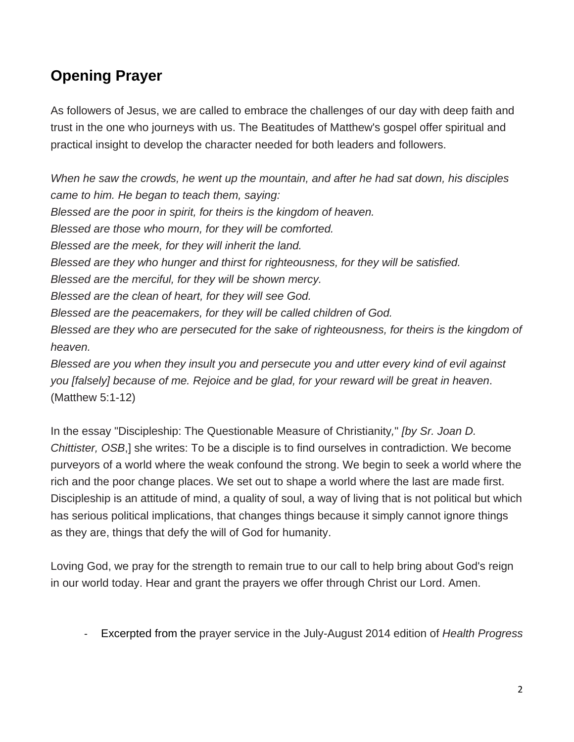## **Opening Prayer**

As followers of Jesus, we are called to embrace the challenges of our day with deep faith and trust in the one who journeys with us. The Beatitudes of Matthew's gospel offer spiritual and practical insight to develop the character needed for both leaders and followers.

*When he saw the crowds, he went up the mountain, and after he had sat down, his disciples came to him. He began to teach them, saying: Blessed are the poor in spirit, for theirs is the kingdom of heaven. Blessed are those who mourn, for they will be comforted. Blessed are the meek, for they will inherit the land. Blessed are they who hunger and thirst for righteousness, for they will be satisfied. Blessed are the merciful, for they will be shown mercy. Blessed are the clean of heart, for they will see God. Blessed are the peacemakers, for they will be called children of God. Blessed are they who are persecuted for the sake of righteousness, for theirs is the kingdom of heaven. Blessed are you when they insult you and persecute you and utter every kind of evil against you [falsely] because of me. Rejoice and be glad, for your reward will be great in heaven*. (Matthew 5:1-12)

In the essay "Discipleship: The Questionable Measure of Christianity*,*" *[by Sr. Joan D. Chittister, OSB*,] she writes: To be a disciple is to find ourselves in contradiction. We become purveyors of a world where the weak confound the strong. We begin to seek a world where the rich and the poor change places. We set out to shape a world where the last are made first. Discipleship is an attitude of mind, a quality of soul, a way of living that is not political but which has serious political implications, that changes things because it simply cannot ignore things as they are, things that defy the will of God for humanity.

Loving God, we pray for the strength to remain true to our call to help bring about God's reign in our world today. Hear and grant the prayers we offer through Christ our Lord. Amen.

‐ Excerpted from the prayer service in the July-August 2014 edition of *Health Progress*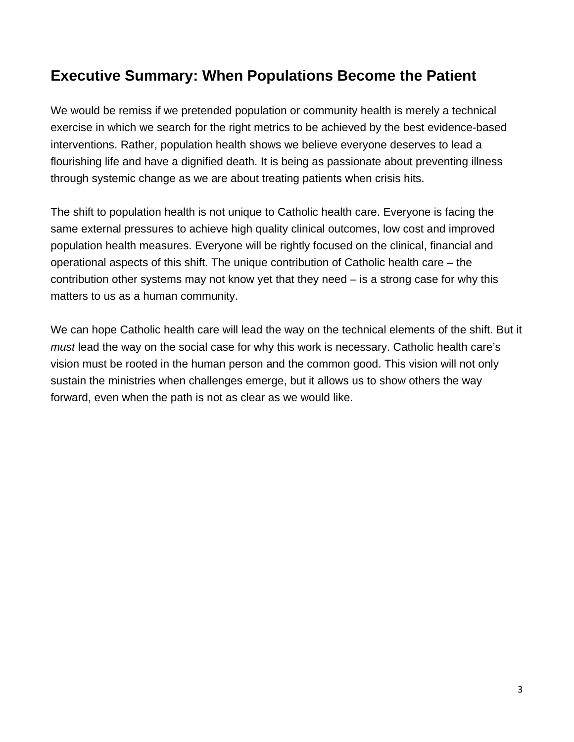## **Executive Summary: When Populations Become the Patient**

We would be remiss if we pretended population or community health is merely a technical exercise in which we search for the right metrics to be achieved by the best evidence-based interventions. Rather, population health shows we believe everyone deserves to lead a flourishing life and have a dignified death. It is being as passionate about preventing illness through systemic change as we are about treating patients when crisis hits.

The shift to population health is not unique to Catholic health care. Everyone is facing the same external pressures to achieve high quality clinical outcomes, low cost and improved population health measures. Everyone will be rightly focused on the clinical, financial and operational aspects of this shift. The unique contribution of Catholic health care – the contribution other systems may not know yet that they need – is a strong case for why this matters to us as a human community.

We can hope Catholic health care will lead the way on the technical elements of the shift. But it *must* lead the way on the social case for why this work is necessary. Catholic health care's vision must be rooted in the human person and the common good. This vision will not only sustain the ministries when challenges emerge, but it allows us to show others the way forward, even when the path is not as clear as we would like.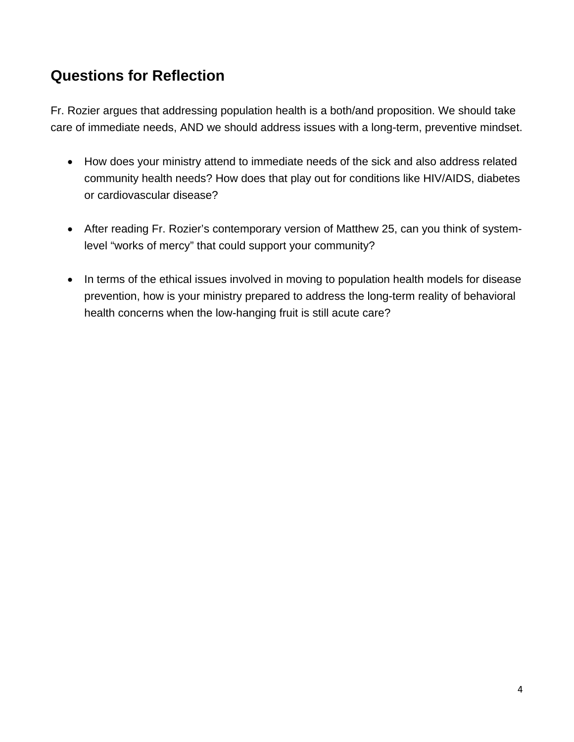## **Questions for Reflection**

Fr. Rozier argues that addressing population health is a both/and proposition. We should take care of immediate needs, AND we should address issues with a long-term, preventive mindset.

- How does your ministry attend to immediate needs of the sick and also address related community health needs? How does that play out for conditions like HIV/AIDS, diabetes or cardiovascular disease?
- After reading Fr. Rozier's contemporary version of Matthew 25, can you think of systemlevel "works of mercy" that could support your community?
- In terms of the ethical issues involved in moving to population health models for disease prevention, how is your ministry prepared to address the long-term reality of behavioral health concerns when the low-hanging fruit is still acute care?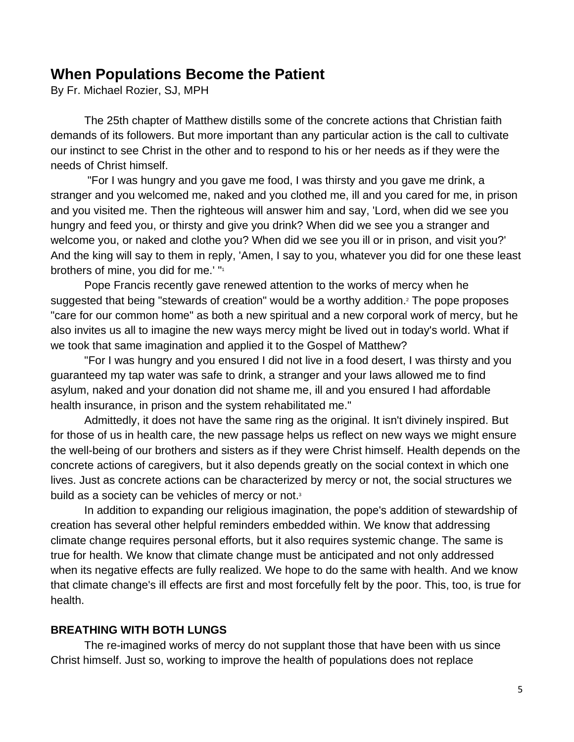### **When Populations Become the Patient**

By Fr. Michael Rozier, SJ, MPH

The 25th chapter of Matthew distills some of the concrete actions that Christian faith demands of its followers. But more important than any particular action is the call to cultivate our instinct to see Christ in the other and to respond to his or her needs as if they were the needs of Christ himself.

 "For I was hungry and you gave me food, I was thirsty and you gave me drink, a stranger and you welcomed me, naked and you clothed me, ill and you cared for me, in prison and you visited me. Then the righteous will answer him and say, 'Lord, when did we see you hungry and feed you, or thirsty and give you drink? When did we see you a stranger and welcome you, or naked and clothe you? When did we see you ill or in prison, and visit you?' And the king will say to them in reply, 'Amen, I say to you, whatever you did for one these least brothers of mine, you did for me.' "1

Pope Francis recently gave renewed attention to the works of mercy when he suggested that being "stewards of creation" would be a worthy addition.<sup>2</sup> The pope proposes "care for our common home" as both a new spiritual and a new corporal work of mercy, but he also invites us all to imagine the new ways mercy might be lived out in today's world. What if we took that same imagination and applied it to the Gospel of Matthew?

"For I was hungry and you ensured I did not live in a food desert, I was thirsty and you guaranteed my tap water was safe to drink, a stranger and your laws allowed me to find asylum, naked and your donation did not shame me, ill and you ensured I had affordable health insurance, in prison and the system rehabilitated me."

Admittedly, it does not have the same ring as the original. It isn't divinely inspired. But for those of us in health care, the new passage helps us reflect on new ways we might ensure the well-being of our brothers and sisters as if they were Christ himself. Health depends on the concrete actions of caregivers, but it also depends greatly on the social context in which one lives. Just as concrete actions can be characterized by mercy or not, the social structures we build as a society can be vehicles of mercy or not.<sup>3</sup>

In addition to expanding our religious imagination, the pope's addition of stewardship of creation has several other helpful reminders embedded within. We know that addressing climate change requires personal efforts, but it also requires systemic change. The same is true for health. We know that climate change must be anticipated and not only addressed when its negative effects are fully realized. We hope to do the same with health. And we know that climate change's ill effects are first and most forcefully felt by the poor. This, too, is true for health.

#### **BREATHING WITH BOTH LUNGS**

The re-imagined works of mercy do not supplant those that have been with us since Christ himself. Just so, working to improve the health of populations does not replace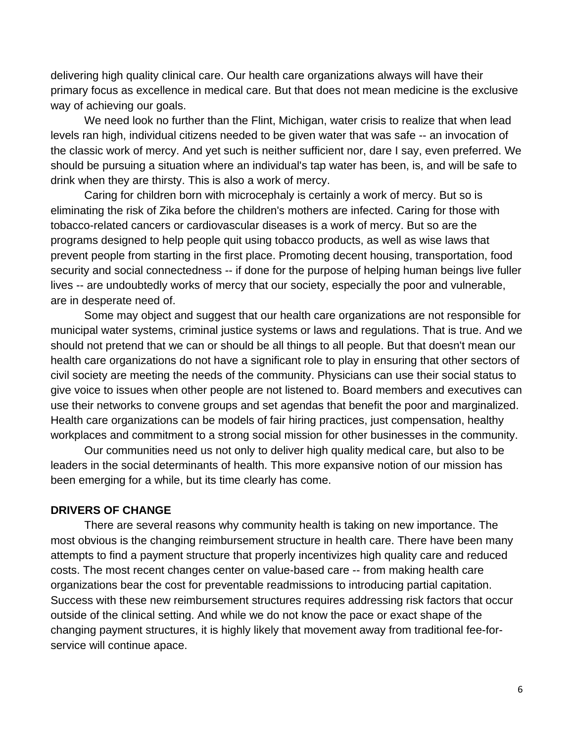delivering high quality clinical care. Our health care organizations always will have their primary focus as excellence in medical care. But that does not mean medicine is the exclusive way of achieving our goals.

We need look no further than the Flint, Michigan, water crisis to realize that when lead levels ran high, individual citizens needed to be given water that was safe -- an invocation of the classic work of mercy. And yet such is neither sufficient nor, dare I say, even preferred. We should be pursuing a situation where an individual's tap water has been, is, and will be safe to drink when they are thirsty. This is also a work of mercy.

Caring for children born with microcephaly is certainly a work of mercy. But so is eliminating the risk of Zika before the children's mothers are infected. Caring for those with tobacco-related cancers or cardiovascular diseases is a work of mercy. But so are the programs designed to help people quit using tobacco products, as well as wise laws that prevent people from starting in the first place. Promoting decent housing, transportation, food security and social connectedness -- if done for the purpose of helping human beings live fuller lives -- are undoubtedly works of mercy that our society, especially the poor and vulnerable, are in desperate need of.

Some may object and suggest that our health care organizations are not responsible for municipal water systems, criminal justice systems or laws and regulations. That is true. And we should not pretend that we can or should be all things to all people. But that doesn't mean our health care organizations do not have a significant role to play in ensuring that other sectors of civil society are meeting the needs of the community. Physicians can use their social status to give voice to issues when other people are not listened to. Board members and executives can use their networks to convene groups and set agendas that benefit the poor and marginalized. Health care organizations can be models of fair hiring practices, just compensation, healthy workplaces and commitment to a strong social mission for other businesses in the community.

Our communities need us not only to deliver high quality medical care, but also to be leaders in the social determinants of health. This more expansive notion of our mission has been emerging for a while, but its time clearly has come.

#### **DRIVERS OF CHANGE**

There are several reasons why community health is taking on new importance. The most obvious is the changing reimbursement structure in health care. There have been many attempts to find a payment structure that properly incentivizes high quality care and reduced costs. The most recent changes center on value-based care -- from making health care organizations bear the cost for preventable readmissions to introducing partial capitation. Success with these new reimbursement structures requires addressing risk factors that occur outside of the clinical setting. And while we do not know the pace or exact shape of the changing payment structures, it is highly likely that movement away from traditional fee-forservice will continue apace.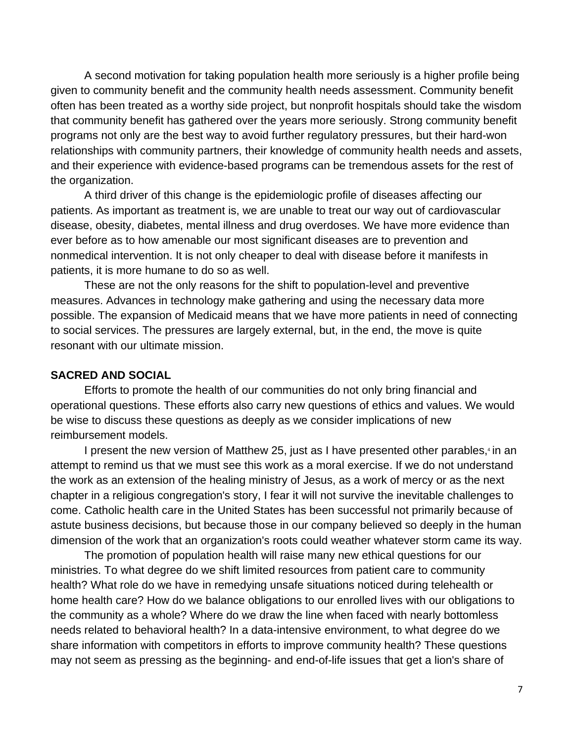A second motivation for taking population health more seriously is a higher profile being given to community benefit and the community health needs assessment. Community benefit often has been treated as a worthy side project, but nonprofit hospitals should take the wisdom that community benefit has gathered over the years more seriously. Strong community benefit programs not only are the best way to avoid further regulatory pressures, but their hard-won relationships with community partners, their knowledge of community health needs and assets, and their experience with evidence-based programs can be tremendous assets for the rest of the organization.

A third driver of this change is the epidemiologic profile of diseases affecting our patients. As important as treatment is, we are unable to treat our way out of cardiovascular disease, obesity, diabetes, mental illness and drug overdoses. We have more evidence than ever before as to how amenable our most significant diseases are to prevention and nonmedical intervention. It is not only cheaper to deal with disease before it manifests in patients, it is more humane to do so as well.

These are not the only reasons for the shift to population-level and preventive measures. Advances in technology make gathering and using the necessary data more possible. The expansion of Medicaid means that we have more patients in need of connecting to social services. The pressures are largely external, but, in the end, the move is quite resonant with our ultimate mission.

#### **SACRED AND SOCIAL**

Efforts to promote the health of our communities do not only bring financial and operational questions. These efforts also carry new questions of ethics and values. We would be wise to discuss these questions as deeply as we consider implications of new reimbursement models.

I present the new version of Matthew 25, just as I have presented other parables,<sup>4</sup> in an attempt to remind us that we must see this work as a moral exercise. If we do not understand the work as an extension of the healing ministry of Jesus, as a work of mercy or as the next chapter in a religious congregation's story, I fear it will not survive the inevitable challenges to come. Catholic health care in the United States has been successful not primarily because of astute business decisions, but because those in our company believed so deeply in the human dimension of the work that an organization's roots could weather whatever storm came its way.

The promotion of population health will raise many new ethical questions for our ministries. To what degree do we shift limited resources from patient care to community health? What role do we have in remedying unsafe situations noticed during telehealth or home health care? How do we balance obligations to our enrolled lives with our obligations to the community as a whole? Where do we draw the line when faced with nearly bottomless needs related to behavioral health? In a data-intensive environment, to what degree do we share information with competitors in efforts to improve community health? These questions may not seem as pressing as the beginning- and end-of-life issues that get a lion's share of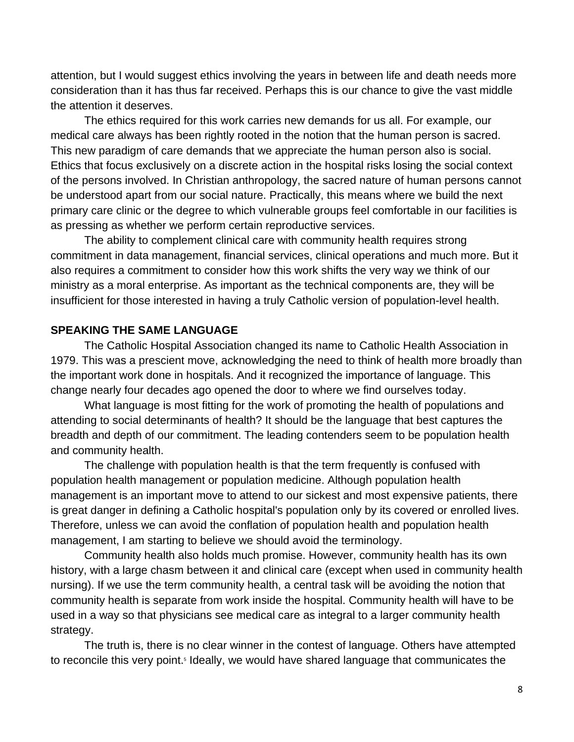attention, but I would suggest ethics involving the years in between life and death needs more consideration than it has thus far received. Perhaps this is our chance to give the vast middle the attention it deserves.

The ethics required for this work carries new demands for us all. For example, our medical care always has been rightly rooted in the notion that the human person is sacred. This new paradigm of care demands that we appreciate the human person also is social. Ethics that focus exclusively on a discrete action in the hospital risks losing the social context of the persons involved. In Christian anthropology, the sacred nature of human persons cannot be understood apart from our social nature. Practically, this means where we build the next primary care clinic or the degree to which vulnerable groups feel comfortable in our facilities is as pressing as whether we perform certain reproductive services.

The ability to complement clinical care with community health requires strong commitment in data management, financial services, clinical operations and much more. But it also requires a commitment to consider how this work shifts the very way we think of our ministry as a moral enterprise. As important as the technical components are, they will be insufficient for those interested in having a truly Catholic version of population-level health.

#### **SPEAKING THE SAME LANGUAGE**

The Catholic Hospital Association changed its name to Catholic Health Association in 1979. This was a prescient move, acknowledging the need to think of health more broadly than the important work done in hospitals. And it recognized the importance of language. This change nearly four decades ago opened the door to where we find ourselves today.

What language is most fitting for the work of promoting the health of populations and attending to social determinants of health? It should be the language that best captures the breadth and depth of our commitment. The leading contenders seem to be population health and community health.

The challenge with population health is that the term frequently is confused with population health management or population medicine. Although population health management is an important move to attend to our sickest and most expensive patients, there is great danger in defining a Catholic hospital's population only by its covered or enrolled lives. Therefore, unless we can avoid the conflation of population health and population health management, I am starting to believe we should avoid the terminology.

Community health also holds much promise. However, community health has its own history, with a large chasm between it and clinical care (except when used in community health nursing). If we use the term community health, a central task will be avoiding the notion that community health is separate from work inside the hospital. Community health will have to be used in a way so that physicians see medical care as integral to a larger community health strategy.

The truth is, there is no clear winner in the contest of language. Others have attempted to reconcile this very point.<sup>5</sup> Ideally, we would have shared language that communicates the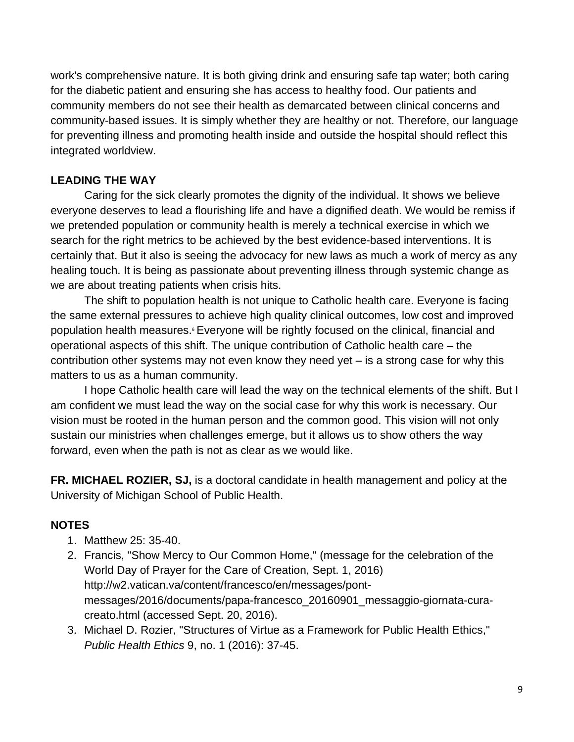work's comprehensive nature. It is both giving drink and ensuring safe tap water; both caring for the diabetic patient and ensuring she has access to healthy food. Our patients and community members do not see their health as demarcated between clinical concerns and community-based issues. It is simply whether they are healthy or not. Therefore, our language for preventing illness and promoting health inside and outside the hospital should reflect this integrated worldview.

#### **LEADING THE WAY**

Caring for the sick clearly promotes the dignity of the individual. It shows we believe everyone deserves to lead a flourishing life and have a dignified death. We would be remiss if we pretended population or community health is merely a technical exercise in which we search for the right metrics to be achieved by the best evidence-based interventions. It is certainly that. But it also is seeing the advocacy for new laws as much a work of mercy as any healing touch. It is being as passionate about preventing illness through systemic change as we are about treating patients when crisis hits.

The shift to population health is not unique to Catholic health care. Everyone is facing the same external pressures to achieve high quality clinical outcomes, low cost and improved population health measures.<sup>6</sup> Everyone will be rightly focused on the clinical, financial and operational aspects of this shift. The unique contribution of Catholic health care – the contribution other systems may not even know they need yet – is a strong case for why this matters to us as a human community.

I hope Catholic health care will lead the way on the technical elements of the shift. But I am confident we must lead the way on the social case for why this work is necessary. Our vision must be rooted in the human person and the common good. This vision will not only sustain our ministries when challenges emerge, but it allows us to show others the way forward, even when the path is not as clear as we would like.

**FR. MICHAEL ROZIER, SJ,** is a doctoral candidate in health management and policy at the University of Michigan School of Public Health.

#### **NOTES**

- 1. Matthew 25: 35-40.
- 2. Francis, "Show Mercy to Our Common Home," (message for the celebration of the World Day of Prayer for the Care of Creation, Sept. 1, 2016) http://w2.vatican.va/content/francesco/en/messages/pontmessages/2016/documents/papa-francesco\_20160901\_messaggio-giornata-curacreato.html (accessed Sept. 20, 2016).
- 3. Michael D. Rozier, "Structures of Virtue as a Framework for Public Health Ethics," *Public Health Ethics* 9, no. 1 (2016): 37-45.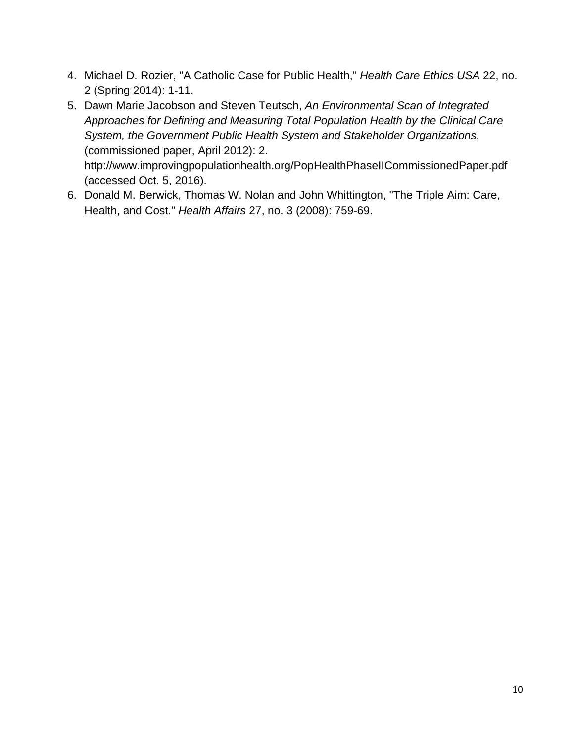- 4. Michael D. Rozier, "A Catholic Case for Public Health," *Health Care Ethics USA* 22, no. 2 (Spring 2014): 1-11.
- 5. Dawn Marie Jacobson and Steven Teutsch, *An Environmental Scan of Integrated Approaches for Defining and Measuring Total Population Health by the Clinical Care System, the Government Public Health System and Stakeholder Organizations*, (commissioned paper, April 2012): 2. http://www.improvingpopulationhealth.org/PopHealthPhaseIICommissionedPaper.pdf (accessed Oct. 5, 2016).
- 6. Donald M. Berwick, Thomas W. Nolan and John Whittington, "The Triple Aim: Care, Health, and Cost." *Health Affairs* 27, no. 3 (2008): 759-69.